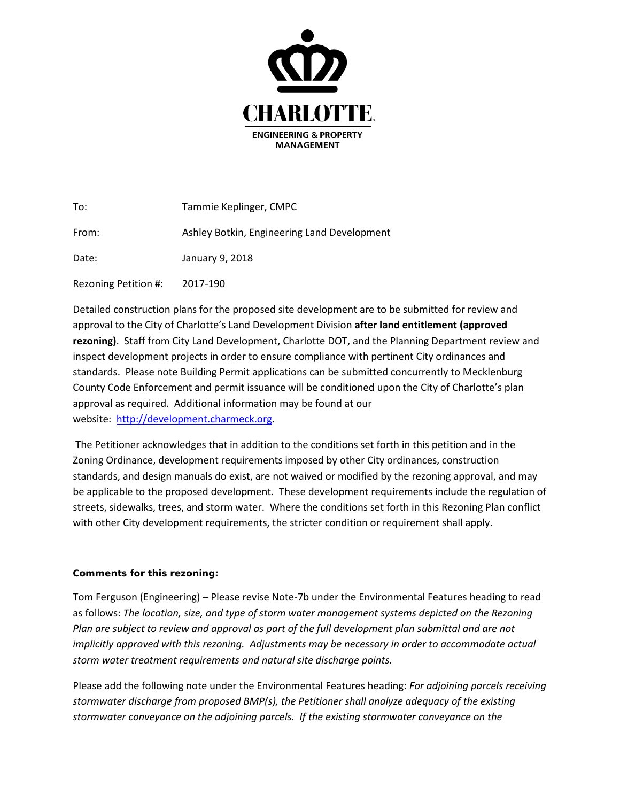

| To:                  | Tammie Keplinger, CMPC                      |
|----------------------|---------------------------------------------|
| From:                | Ashley Botkin, Engineering Land Development |
| Date:                | January 9, 2018                             |
| Rezoning Petition #: | 2017-190                                    |

Detailed construction plans for the proposed site development are to be submitted for review and approval to the City of Charlotte's Land Development Division **after land entitlement (approved rezoning)**. Staff from City Land Development, Charlotte DOT, and the Planning Department review and inspect development projects in order to ensure compliance with pertinent City ordinances and standards. Please note Building Permit applications can be submitted concurrently to Mecklenburg County Code Enforcement and permit issuance will be conditioned upon the City of Charlotte's plan approval as required. Additional information may be found at our website: [http://development.charmeck.org.](http://development.charmeck.org/)

The Petitioner acknowledges that in addition to the conditions set forth in this petition and in the Zoning Ordinance, development requirements imposed by other City ordinances, construction standards, and design manuals do exist, are not waived or modified by the rezoning approval, and may be applicable to the proposed development. These development requirements include the regulation of streets, sidewalks, trees, and storm water. Where the conditions set forth in this Rezoning Plan conflict with other City development requirements, the stricter condition or requirement shall apply.

## **Comments for this rezoning:**

Tom Ferguson (Engineering) – Please revise Note-7b under the Environmental Features heading to read as follows: *The location, size, and type of storm water management systems depicted on the Rezoning Plan are subject to review and approval as part of the full development plan submittal and are not implicitly approved with this rezoning. Adjustments may be necessary in order to accommodate actual storm water treatment requirements and natural site discharge points.*

Please add the following note under the Environmental Features heading: *For adjoining parcels receiving stormwater discharge from proposed BMP(s), the Petitioner shall analyze adequacy of the existing stormwater conveyance on the adjoining parcels. If the existing stormwater conveyance on the*